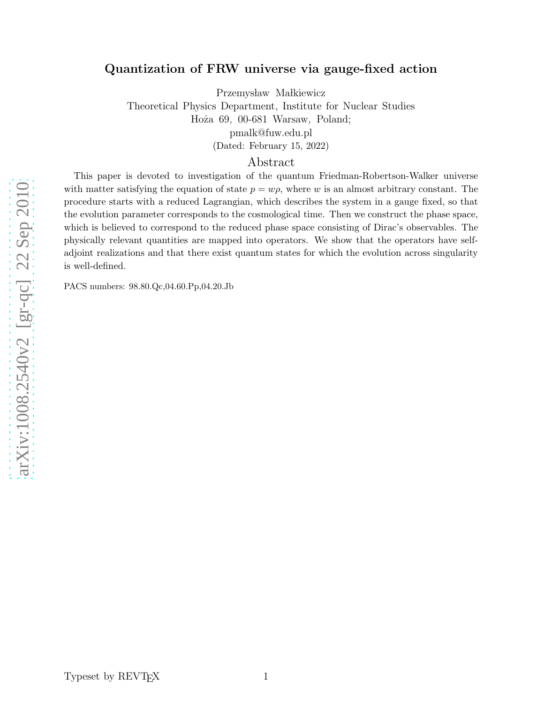# Quantization of FRW universe via gauge-fixed action

Przemysław Małkiewicz

Theoretical Physics Department, Institute for Nuclear Studies Hoża 69, 00-681 Warsaw, Poland; pmalk@fuw.edu.pl

(Dated: February 15, 2022)

Abstract

This paper is devoted to investigation of the quantum Friedman-Robertson-Walker universe with matter satisfying the equation of state  $p = w\rho$ , where w is an almost arbitrary constant. The procedure starts with a reduced Lagrangian, which describes the system in a gauge fixed, so that the evolution parameter corresponds to the cosmological time. Then we construct the phase space, which is believed to correspond to the reduced phase space consisting of Dirac's observables. The physically relevant quantities are mapped into operators. We show that the operators have selfadjoint realizations and that there exist quantum states for which the evolution across singularity is well-defined.

PACS numbers: 98.80.Qc,04.60.Pp,04.20.Jb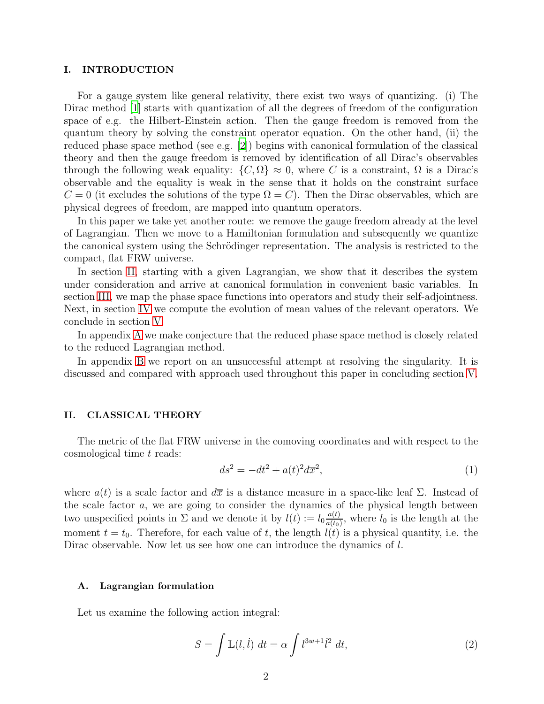### I. INTRODUCTION

For a gauge system like general relativity, there exist two ways of quantizing. (i) The Dirac method [\[1](#page-14-0)] starts with quantization of all the degrees of freedom of the configuration space of e.g. the Hilbert-Einstein action. Then the gauge freedom is removed from the quantum theory by solving the constraint operator equation. On the other hand, (ii) the reduced phase space method (see e.g. [\[2](#page-14-1)]) begins with canonical formulation of the classical theory and then the gauge freedom is removed by identification of all Dirac's observables through the following weak equality:  $\{C, \Omega\} \approx 0$ , where C is a constraint,  $\Omega$  is a Dirac's observable and the equality is weak in the sense that it holds on the constraint surface  $C = 0$  (it excludes the solutions of the type  $\Omega = C$ ). Then the Dirac observables, which are physical degrees of freedom, are mapped into quantum operators.

In this paper we take yet another route: we remove the gauge freedom already at the level of Lagrangian. Then we move to a Hamiltonian formulation and subsequently we quantize the canonical system using the Schrödinger representation. The analysis is restricted to the compact, flat FRW universe.

In section [II,](#page-1-0) starting with a given Lagrangian, we show that it describes the system under consideration and arrive at canonical formulation in convenient basic variables. In section [III,](#page-4-0) we map the phase space functions into operators and study their self-adjointness. Next, in section [IV](#page-6-0) we compute the evolution of mean values of the relevant operators. We conclude in section [V.](#page-9-0)

In appendix [A](#page-11-0) we make conjecture that the reduced phase space method is closely related to the reduced Lagrangian method.

In appendix [B](#page-11-1) we report on an unsuccessful attempt at resolving the singularity. It is discussed and compared with approach used throughout this paper in concluding section [V.](#page-9-0)

## <span id="page-1-0"></span>II. CLASSICAL THEORY

The metric of the flat FRW universe in the comoving coordinates and with respect to the cosmological time t reads:

$$
ds^2 = -dt^2 + a(t)^2 d\overline{x}^2,\tag{1}
$$

where  $a(t)$  is a scale factor and  $d\overline{x}$  is a distance measure in a space-like leaf  $\Sigma$ . Instead of the scale factor  $a$ , we are going to consider the dynamics of the physical length between two unspecified points in  $\Sigma$  and we denote it by  $l(t) := l_0 \frac{a(t)}{a(t_0)}$  $\frac{a(t)}{a(t_0)}$ , where  $l_0$  is the length at the moment  $t = t_0$ . Therefore, for each value of t, the length  $l(t)$  is a physical quantity, i.e. the Dirac observable. Now let us see how one can introduce the dynamics of l.

## A. Lagrangian formulation

Let us examine the following action integral:

<span id="page-1-1"></span>
$$
S = \int \mathbb{L}(l, \dot{l}) \, dt = \alpha \int l^{3w+1} \dot{l}^2 \, dt,\tag{2}
$$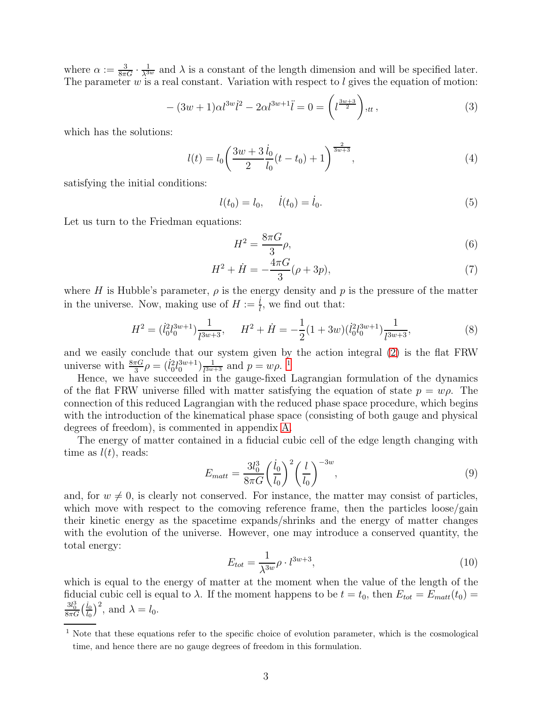where  $\alpha := \frac{3}{8\pi G} \cdot \frac{1}{\lambda^{3w}}$  and  $\lambda$  is a constant of the length dimension and will be specified later. The parameter  $w$  is a real constant. Variation with respect to  $l$  gives the equation of motion:

$$
-(3w+1)\alpha l^{3w}l^2 - 2\alpha l^{3w+1}\ddot{l} = 0 = \left(l^{\frac{3w+3}{2}}\right),_{tt},\tag{3}
$$

which has the solutions:

<span id="page-2-2"></span>
$$
l(t) = l_0 \left(\frac{3w + 3}{2} \frac{\dot{l}_0}{l_0} (t - t_0) + 1\right)^{\frac{2}{3w + 3}},\tag{4}
$$

satisfying the initial conditions:

$$
l(t_0) = l_0, \quad l(t_0) = l_0. \tag{5}
$$

Let us turn to the Friedman equations:

$$
H^2 = \frac{8\pi G}{3}\rho,\tag{6}
$$

$$
H^2 + \dot{H} = -\frac{4\pi G}{3}(\rho + 3p),\tag{7}
$$

where H is Hubble's parameter,  $\rho$  is the energy density and p is the pressure of the matter in the universe. Now, making use of  $H := \frac{i}{l}$  $\frac{l}{l}$ , we find out that:

$$
H^{2} = (l_{0}^{2}l_{0}^{3w+1})\frac{1}{l^{3w+3}}, \qquad H^{2} + \dot{H} = -\frac{1}{2}(1+3w)(l_{0}^{2}l_{0}^{3w+1})\frac{1}{l^{3w+3}},
$$
\n(8)

and we easily conclude that our system given by the action integral [\(2\)](#page-1-1) is the flat FRW universe with  $\frac{8\pi G}{3} \rho = (l_0^2 l_0^{3w+1}) \frac{1}{l^{3w}}$  $\frac{1}{l^{3w+3}}$  $\frac{1}{l^{3w+3}}$  $\frac{1}{l^{3w+3}}$  and  $p = w\rho$ .<sup>1</sup>

Hence, we have succeeded in the gauge-fixed Lagrangian formulation of the dynamics of the flat FRW universe filled with matter satisfying the equation of state  $p = w\rho$ . The connection of this reduced Lagrangian with the reduced phase space procedure, which begins with the introduction of the kinematical phase space (consisting of both gauge and physical degrees of freedom), is commented in appendix [A.](#page-11-0)

The energy of matter contained in a fiducial cubic cell of the edge length changing with time as  $l(t)$ , reads:

$$
E_{matt} = \frac{3l_0^3}{8\pi G} \left(\frac{\dot{l}_0}{l_0}\right)^2 \left(\frac{l}{l_0}\right)^{-3w},\tag{9}
$$

and, for  $w \neq 0$ , is clearly not conserved. For instance, the matter may consist of particles, which move with respect to the comoving reference frame, then the particles loose/gain their kinetic energy as the spacetime expands/shrinks and the energy of matter changes with the evolution of the universe. However, one may introduce a conserved quantity, the total energy:

<span id="page-2-1"></span>
$$
E_{tot} = \frac{1}{\lambda^{3w}} \rho \cdot l^{3w+3},\tag{10}
$$

which is equal to the energy of matter at the moment when the value of the length of the fiducial cubic cell is equal to  $\lambda$ . If the moment happens to be  $t = t_0$ , then  $E_{tot} = E_{matt}(t_0) =$  $\frac{3l_0^3}{8\pi G}\Bigl(\frac{\dot{l}_0}{l_0}$  $\frac{i_0}{l_0}\big)^2$ , and  $\lambda = l_0$ .

<span id="page-2-0"></span><sup>&</sup>lt;sup>1</sup> Note that these equations refer to the specific choice of evolution parameter, which is the cosmological time, and hence there are no gauge degrees of freedom in this formulation.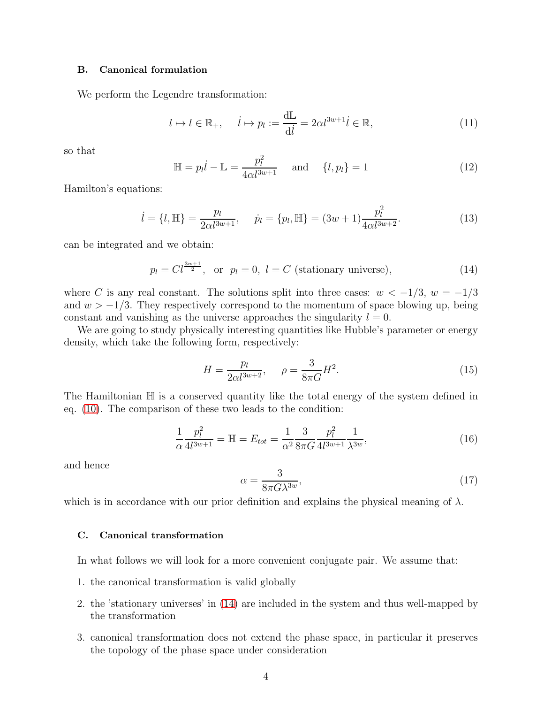## B. Canonical formulation

We perform the Legendre transformation:

$$
l \mapsto l \in \mathbb{R}_+, \quad l \mapsto p_l := \frac{d\mathbb{L}}{dl} = 2\alpha l^{3w+1} \, \ell \in \mathbb{R},\tag{11}
$$

so that

$$
\mathbb{H} = p_l \dot{l} - \mathbb{L} = \frac{p_l^2}{4\alpha l^{3w+1}} \quad \text{and} \quad \{l, p_l\} = 1 \tag{12}
$$

Hamilton's equations:

$$
\dot{l} = \{l, \mathbb{H}\} = \frac{p_l}{2\alpha l^{3w+1}}, \quad \dot{p}_l = \{p_l, \mathbb{H}\} = (3w+1)\frac{p_l^2}{4\alpha l^{3w+2}}.
$$
 (13)

can be integrated and we obtain:

<span id="page-3-0"></span>
$$
p_l = Cl^{\frac{3w+1}{2}}
$$
, or  $p_l = 0$ ,  $l = C$  (stationary universe), (14)

where C is any real constant. The solutions split into three cases:  $w < -1/3$ ,  $w = -1/3$ and  $w > -1/3$ . They respectively correspond to the momentum of space blowing up, being constant and vanishing as the universe approaches the singularity  $l = 0$ .

We are going to study physically interesting quantities like Hubble's parameter or energy density, which take the following form, respectively:

$$
H = \frac{p_l}{2\alpha l^{3w+2}}, \quad \rho = \frac{3}{8\pi G} H^2.
$$
 (15)

The Hamiltonian  $\mathbb H$  is a conserved quantity like the total energy of the system defined in eq. [\(10\)](#page-2-1). The comparison of these two leads to the condition:

$$
\frac{1}{\alpha} \frac{p_l^2}{4l^{3w+1}} = \mathbb{H} = E_{tot} = \frac{1}{\alpha^2} \frac{3}{8\pi G} \frac{p_l^2}{4l^{3w+1}} \frac{1}{\lambda^{3w}},\tag{16}
$$

and hence

$$
\alpha = \frac{3}{8\pi G\lambda^{3w}},\tag{17}
$$

which is in accordance with our prior definition and explains the physical meaning of  $\lambda$ .

## C. Canonical transformation

In what follows we will look for a more convenient conjugate pair. We assume that:

- 1. the canonical transformation is valid globally
- 2. the 'stationary universes' in [\(14\)](#page-3-0) are included in the system and thus well-mapped by the transformation
- 3. canonical transformation does not extend the phase space, in particular it preserves the topology of the phase space under consideration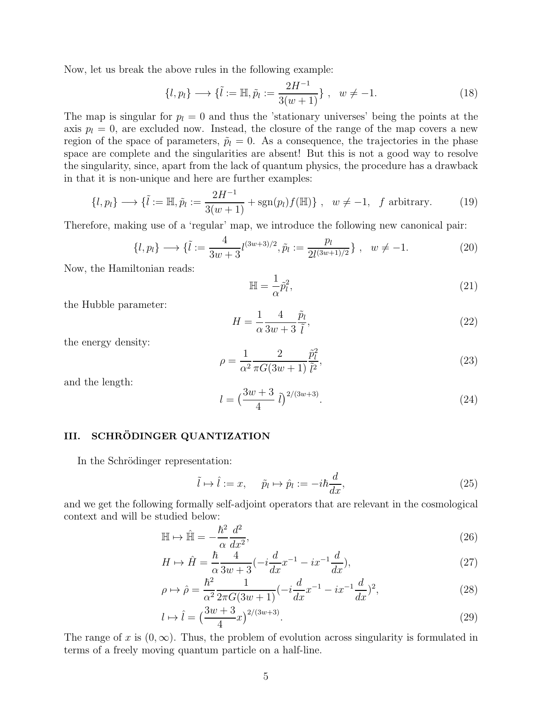Now, let us break the above rules in the following example:

$$
\{l, p_l\} \longrightarrow \{\tilde{l} := \mathbb{H}, \tilde{p}_l := \frac{2H^{-1}}{3(w+1)}\}, \ \ w \neq -1.
$$
 (18)

The map is singular for  $p_l = 0$  and thus the 'stationary universes' being the points at the axis  $p_l = 0$ , are excluded now. Instead, the closure of the range of the map covers a new region of the space of parameters,  $\tilde{p}_l = 0$ . As a consequence, the trajectories in the phase space are complete and the singularities are absent! But this is not a good way to resolve the singularity, since, apart from the lack of quantum physics, the procedure has a drawback in that it is non-unique and here are further examples:

$$
\{l, p_l\} \longrightarrow \{\tilde{l} := \mathbb{H}, \tilde{p}_l := \frac{2H^{-1}}{3(w+1)} + \text{sgn}(p_l)f(\mathbb{H})\}, \quad w \neq -1, \quad f \text{ arbitrary.} \tag{19}
$$

Therefore, making use of a 'regular' map, we introduce the following new canonical pair:

$$
\{l, p_l\} \longrightarrow \{\tilde{l} := \frac{4}{3w+3} l^{(3w+3)/2}, \tilde{p}_l := \frac{p_l}{2l^{(3w+1)/2}}\}, \quad w \neq -1. \tag{20}
$$

Now, the Hamiltonian reads:

$$
\mathbb{H} = \frac{1}{\alpha} \tilde{p}_l^2,\tag{21}
$$

the Hubble parameter:

$$
H = \frac{1}{\alpha} \frac{4}{3w + 3} \frac{\tilde{p}_l}{\tilde{l}},\tag{22}
$$

the energy density:

$$
\rho = \frac{1}{\alpha^2} \frac{2}{\pi G (3w+1)} \frac{\tilde{p}_l^2}{\tilde{l}^2},\tag{23}
$$

and the length:

$$
l = \left(\frac{3w+3}{4} \tilde{l}\right)^{2/(3w+3)}.\tag{24}
$$

## <span id="page-4-0"></span>III. SCHRÖDINGER QUANTIZATION

In the Schrödinger representation:

$$
\tilde{l} \mapsto \hat{l} := x, \quad \tilde{p}_l \mapsto \hat{p}_l := -i\hbar \frac{d}{dx}, \tag{25}
$$

and we get the following formally self-adjoint operators that are relevant in the cosmological context and will be studied below:

<span id="page-4-1"></span>
$$
\mathbb{H} \mapsto \hat{\mathbb{H}} = -\frac{\hbar^2}{\alpha} \frac{d^2}{dx^2},\tag{26}
$$

$$
H \mapsto \hat{H} = \frac{\hbar}{\alpha} \frac{4}{3w+3} (-i \frac{d}{dx} x^{-1} - ix^{-1} \frac{d}{dx}), \tag{27}
$$

$$
\rho \mapsto \hat{\rho} = \frac{\hbar^2}{\alpha^2} \frac{1}{2\pi G (3w+1)} (-i \frac{d}{dx} x^{-1} - ix^{-1} \frac{d}{dx})^2, \tag{28}
$$

$$
l \mapsto \hat{l} = \left(\frac{3w + 3}{4}x\right)^{2/(3w+3)}.\tag{29}
$$

The range of x is  $(0, \infty)$ . Thus, the problem of evolution across singularity is formulated in terms of a freely moving quantum particle on a half-line.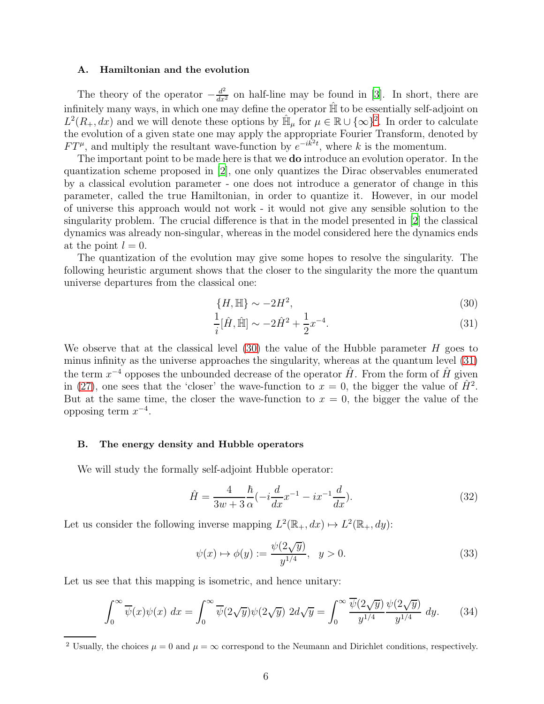#### A. Hamiltonian and the evolution

The theory of the operator  $-\frac{d^2}{dx^2}$  on half-line may be found in [\[3](#page-14-2)]. In short, there are infinitely many ways, in which one may define the operator  $\hat{\mathbb{H}}$  to be essentially self-adjoint on  $L^2(R_+, dx)$  $L^2(R_+, dx)$  $L^2(R_+, dx)$  and we will denote these options by  $\hat{\mathbb{H}}_\mu$  for  $\mu \in \mathbb{R} \cup \{\infty\}^2$ . In order to calculate the evolution of a given state one may apply the appropriate Fourier Transform, denoted by  $FT^{\mu}$ , and multiply the resultant wave-function by  $e^{-ik^2t}$ , where k is the momentum.

The important point to be made here is that we do introduce an evolution operator. In the quantization scheme proposed in [\[2\]](#page-14-1), one only quantizes the Dirac observables enumerated by a classical evolution parameter - one does not introduce a generator of change in this parameter, called the true Hamiltonian, in order to quantize it. However, in our model of universe this approach would not work - it would not give any sensible solution to the singularity problem. The crucial difference is that in the model presented in [\[2\]](#page-14-1) the classical dynamics was already non-singular, whereas in the model considered here the dynamics ends at the point  $l = 0$ .

The quantization of the evolution may give some hopes to resolve the singularity. The following heuristic argument shows that the closer to the singularity the more the quantum universe departures from the classical one:

<span id="page-5-1"></span>
$$
\{H, \mathbb{H}\} \sim -2H^2,\tag{30}
$$

$$
\frac{1}{i}[\hat{H}, \hat{\mathbb{H}}] \sim -2\hat{H}^2 + \frac{1}{2}x^{-4}.\tag{31}
$$

We observe that at the classical level  $(30)$  the value of the Hubble parameter H goes to minus infinity as the universe approaches the singularity, whereas at the quantum level [\(31\)](#page-5-1) the term  $x^{-4}$  opposes the unbounded decrease of the operator  $\hat{H}$ . From the form of  $\hat{H}$  given in [\(27\)](#page-4-1), one sees that the 'closer' the wave-function to  $x = 0$ , the bigger the value of  $\hat{H}^2$ . But at the same time, the closer the wave-function to  $x = 0$ , the bigger the value of the opposing term  $x^{-4}$ .

## B. The energy density and Hubble operators

We will study the formally self-adjoint Hubble operator:

$$
\hat{H} = \frac{4}{3w+3} \frac{\hbar}{\alpha} (-i \frac{d}{dx} x^{-1} - ix^{-1} \frac{d}{dx}).
$$
\n(32)

Let us consider the following inverse mapping  $L^2(\mathbb{R}_+, dx) \mapsto L^2(\mathbb{R}_+, dy)$ :

<span id="page-5-2"></span>
$$
\psi(x) \mapsto \phi(y) := \frac{\psi(2\sqrt{y})}{y^{1/4}}, \quad y > 0.
$$
\n(33)

Let us see that this mapping is isometric, and hence unitary:

$$
\int_0^\infty \overline{\psi}(x)\psi(x) dx = \int_0^\infty \overline{\psi}(2\sqrt{y})\psi(2\sqrt{y}) 2d\sqrt{y} = \int_0^\infty \frac{\overline{\psi}(2\sqrt{y})\psi(2\sqrt{y})}{y^{1/4}} dy. \tag{34}
$$

<span id="page-5-0"></span><sup>&</sup>lt;sup>2</sup> Usually, the choices  $\mu = 0$  and  $\mu = \infty$  correspond to the Neumann and Dirichlet conditions, respectively.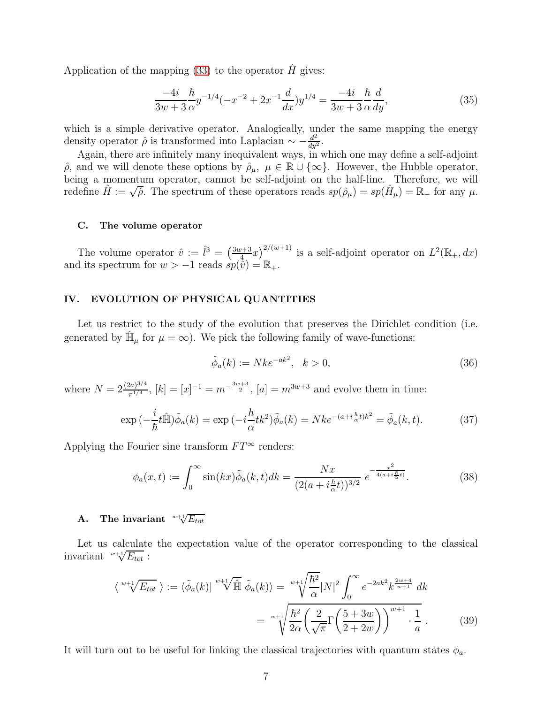Application of the mapping [\(33\)](#page-5-2) to the operator  $\hat{H}$  gives:

$$
\frac{-4i}{3w+3}\frac{\hbar}{\alpha}y^{-1/4}(-x^{-2}+2x^{-1}\frac{d}{dx})y^{1/4} = \frac{-4i}{3w+3}\frac{\hbar}{\alpha}\frac{d}{dy},\tag{35}
$$

which is a simple derivative operator. Analogically, under the same mapping the energy density operator  $\hat{\rho}$  is transformed into Laplacian  $\sim -\frac{d^2}{dy^2}$  $rac{d^2}{dy^2}$ .

Again, there are infinitely many inequivalent ways, in which one may define a self-adjoint  $\hat{\rho}$ , and we will denote these options by  $\hat{\rho}_{\mu}$ ,  $\mu \in \mathbb{R} \cup \{\infty\}$ . However, the Hubble operator, being a momentum operator, cannot be self-adjoint on the half-line. Therefore, we will redefine  $\hat{H} := \sqrt{\hat{\rho}}$ . The spectrum of these operators reads  $sp(\hat{\rho}_{\mu}) = sp(\hat{H}_{\mu}) = \mathbb{R}_{+}$  for any  $\mu$ .

## C. The volume operator

The volume operator  $\hat{v} := \hat{l}^3 = \left(\frac{3w+3}{4}\right)$  $\frac{y+3}{4}(x^2)^{2/(w+1)}$  is a self-adjoint operator on  $L^2(\mathbb{R}_+,dx)$ and its spectrum for  $w > -1$  reads  $sp(\vec{\hat{v}}) = \mathbb{R}_+$ .

## <span id="page-6-0"></span>IV. EVOLUTION OF PHYSICAL QUANTITIES

Let us restrict to the study of the evolution that preserves the Dirichlet condition (i.e. generated by  $\hat{\mathbb{H}}_{\mu}$  for  $\mu = \infty$ ). We pick the following family of wave-functions:

$$
\tilde{\phi}_a(k) := Nke^{-ak^2}, \quad k > 0,
$$
\n(36)

where  $N = 2 \frac{(2a)^{3/4}}{\pi^{1/4}}$  $\frac{(2a)^{3/4}}{\pi^{1/4}}$ ,  $[k] = [x]^{-1} = m^{-\frac{3w+3}{2}}$ ,  $[a] = m^{3w+3}$  and evolve them in time:

$$
\exp\left(-\frac{i}{\hbar}t\hat{\mathbb{H}}\right)\tilde{\phi}_a(k) = \exp\left(-i\frac{\hbar}{\alpha}tk^2\right)\tilde{\phi}_a(k) = Nke^{-(a+i\frac{\hbar}{\alpha}t)k^2} = \tilde{\phi}_a(k,t). \tag{37}
$$

Applying the Fourier sine transform  $FT^{\infty}$  renders:

$$
\phi_a(x,t) := \int_0^\infty \sin(kx)\tilde{\phi}_a(k,t)dk = \frac{Nx}{(2(a+i\frac{\hbar}{\alpha}t))^{3/2}} e^{-\frac{x^2}{4(a+i\frac{\hbar}{\alpha}t)}}.
$$
(38)

# A. The invariant  $\sqrt[w+1]{E_{tot}}$

Let us calculate the expectation value of the operator corresponding to the classical invariant  $w+1/E_{tot}$ :

<span id="page-6-1"></span>
$$
\langle \sqrt[w+1]{E_{tot}} \rangle := \langle \tilde{\phi}_a(k) | \sqrt[w+1]{\hat{\mathbb{H}}} \tilde{\phi}_a(k) \rangle = \sqrt[w+1]{\frac{\hbar^2}{\alpha}} |N|^2 \int_0^\infty e^{-2ak^2} k^{\frac{2w+4}{w+1}} dk
$$

$$
= \sqrt[w+1]{\frac{\hbar^2}{2\alpha}} \left( \frac{2}{\sqrt{\pi}} \Gamma\left(\frac{5+3w}{2+2w}\right) \right)^{w+1} \cdot \frac{1}{a} \,. \tag{39}
$$

It will turn out to be useful for linking the classical trajectories with quantum states  $\phi_a$ .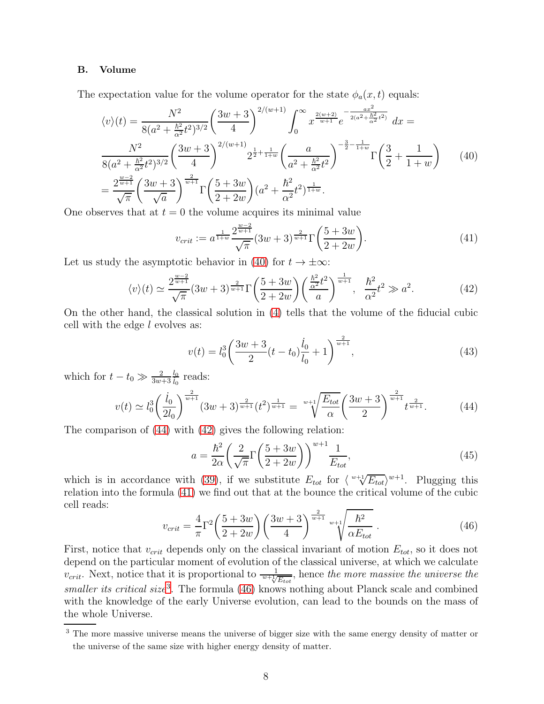## B. Volume

The expectation value for the volume operator for the state  $\phi_a(x, t)$  equals:

<span id="page-7-0"></span>
$$
\langle v \rangle(t) = \frac{N^2}{8(a^2 + \frac{\hbar^2}{\alpha^2} t^2)^{3/2}} \left(\frac{3w + 3}{4}\right)^{2/(w+1)} \int_0^\infty x^{\frac{2(w+2)}{w+1}} e^{-\frac{ax^2}{2(a^2 + \frac{\hbar^2}{\alpha^2} t^2)}} dx =
$$
  

$$
\frac{N^2}{8(a^2 + \frac{\hbar^2}{\alpha^2} t^2)^{3/2}} \left(\frac{3w + 3}{4}\right)^{2/(w+1)} 2^{\frac{1}{2} + \frac{1}{1+w}} \left(\frac{a}{a^2 + \frac{\hbar^2}{\alpha^2} t^2}\right)^{-\frac{3}{2} - \frac{1}{1+w}} \Gamma\left(\frac{3}{2} + \frac{1}{1+w}\right) \tag{40}
$$
  

$$
= \frac{2^{\frac{w-2}{w+1}}}{\sqrt{\pi}} \left(\frac{3w + 3}{\sqrt{a}}\right)^{\frac{2}{w+1}} \Gamma\left(\frac{5 + 3w}{2 + 2w}\right) (a^2 + \frac{\hbar^2}{\alpha^2} t^2)^{\frac{1}{1+w}}.
$$

One observes that at  $t = 0$  the volume acquires its minimal value

<span id="page-7-3"></span>
$$
v_{crit} := a^{\frac{1}{1+w}} \frac{2^{\frac{w-2}{w+1}}}{\sqrt{\pi}} (3w+3)^{\frac{2}{w+1}} \Gamma\left(\frac{5+3w}{2+2w}\right). \tag{41}
$$

Let us study the asymptotic behavior in [\(40\)](#page-7-0) for  $t \to \pm \infty$ :

<span id="page-7-2"></span>
$$
\langle v \rangle(t) \simeq \frac{2^{\frac{w-2}{w+1}}}{\sqrt{\pi}} (3w+3)^{\frac{2}{w+1}} \Gamma\left(\frac{5+3w}{2+2w}\right) \left(\frac{\frac{\hbar^2}{\alpha^2} t^2}{a}\right)^{\frac{1}{w+1}}, \quad \frac{\hbar^2}{\alpha^2} t^2 \gg a^2. \tag{42}
$$

On the other hand, the classical solution in [\(4\)](#page-2-2) tells that the volume of the fiducial cubic cell with the edge  $l$  evolves as:

$$
v(t) = l_0^3 \left(\frac{3w+3}{2}(t-t_0)\frac{\dot{l}_0}{l_0} + 1\right)^{\frac{2}{w+1}},\tag{43}
$$

which for  $t - t_0 \gg \frac{2}{3w+3}$  $\frac{l_0}{l_0}$  reads:

<span id="page-7-1"></span>
$$
v(t) \simeq l_0^3 \left(\frac{\dot{l}_0}{2l_0}\right)^{\frac{2}{w+1}} (3w+3)^{\frac{2}{w+1}} (t^2)^{\frac{1}{w+1}} = \sqrt[w+1]{\frac{E_{tot}}{\alpha}} \left(\frac{3w+3}{2}\right)^{\frac{2}{w+1}} t^{\frac{2}{w+1}}.
$$
 (44)

The comparison of [\(44\)](#page-7-1) with [\(42\)](#page-7-2) gives the following relation:

<span id="page-7-6"></span>
$$
a = \frac{\hbar^2}{2\alpha} \left(\frac{2}{\sqrt{\pi}} \Gamma\left(\frac{5+3w}{2+2w}\right)\right)^{w+1} \frac{1}{E_{tot}},\tag{45}
$$

which is in accordance with [\(39\)](#page-6-1), if we substitute  $E_{tot}$  for  $\langle w^+ \sqrt[4]{E_{tot}} \rangle^{w+1}$ . Plugging this relation into the formula [\(41\)](#page-7-3) we find out that at the bounce the critical volume of the cubic cell reads:

<span id="page-7-5"></span>
$$
v_{crit} = \frac{4}{\pi} \Gamma^2 \left(\frac{5+3w}{2+2w}\right) \left(\frac{3w+3}{4}\right)^{\frac{2}{w+1}} \sqrt[w+1]{\frac{\hbar^2}{\alpha E_{tot}}} \,. \tag{46}
$$

First, notice that  $v_{crit}$  depends only on the classical invariant of motion  $E_{tot}$ , so it does not depend on the particular moment of evolution of the classical universe, at which we calculate  $v_{crit}$ . Next, notice that it is proportional to  $\frac{1}{w+\sqrt{E_{tot}}}$ , hence the more massive the universe the smaller its critical size<sup>[3](#page-7-4)</sup>. The formula  $(46)$  knows nothing about Planck scale and combined with the knowledge of the early Universe evolution, can lead to the bounds on the mass of the whole Universe.

<span id="page-7-4"></span><sup>3</sup> The more massive universe means the universe of bigger size with the same energy density of matter or the universe of the same size with higher energy density of matter.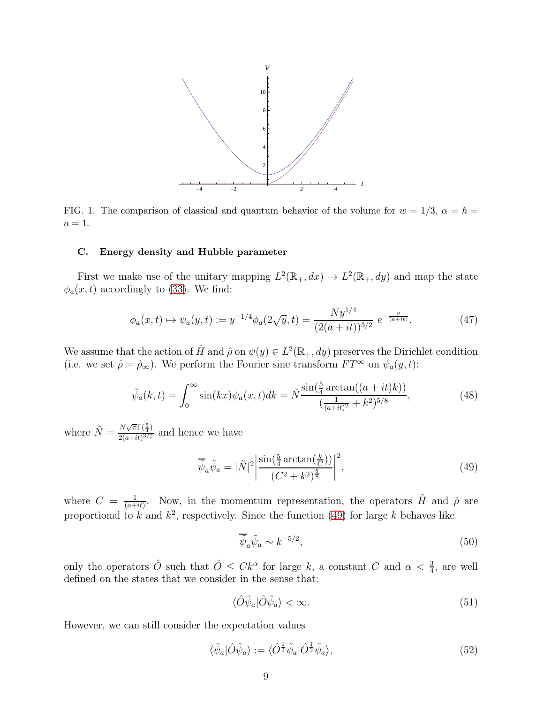

FIG. 1. The comparison of classical and quantum behavior of the volume for  $w = 1/3$ ,  $\alpha = \hbar$  $a=1.$ 

## C. Energy density and Hubble parameter

First we make use of the unitary mapping  $L^2(\mathbb{R}_+, dx) \mapsto L^2(\mathbb{R}_+, dy)$  and map the state  $\phi_a(x, t)$  accordingly to [\(33\)](#page-5-2). We find:

$$
\phi_a(x,t) \mapsto \psi_a(y,t) := y^{-1/4} \phi_a(2\sqrt{y},t) = \frac{Ny^{1/4}}{(2(a+it))^{3/2}} e^{-\frac{y}{(a+it)}}.
$$
 (47)

We assume that the action of  $\hat{H}$  and  $\hat{\rho}$  on  $\psi(y) \in L^2(\mathbb{R}_+, dy)$  preserves the Dirichlet condition (i.e. we set  $\hat{\rho} = \hat{\rho}_{\infty}$ ). We perform the Fourier sine transform  $FT^{\infty}$  on  $\psi_a(y, t)$ :

$$
\tilde{\psi}_a(k,t) = \int_0^\infty \sin(kx)\psi_a(x,t)dk = \tilde{N}\frac{\sin(\frac{5}{4}\arctan((a+it)k))}{(\frac{1}{(a+it)^2} + k^2)^{5/8}},\tag{48}
$$

where  $\tilde{N} = \frac{N\sqrt{\pi}\Gamma(\frac{5}{4})}{2(a+it)^{3/2}}$  $\frac{2(a+it)^{3/2}}{2(a+it)^{3/2}}$  and hence we have

<span id="page-8-0"></span>
$$
\overline{\tilde{\psi}}_a \tilde{\psi}_a = |\tilde{N}|^2 \left| \frac{\sin(\frac{5}{4} \arctan(\frac{k}{C}))}{(C^2 + k^2)^{\frac{5}{8}}} \right|^2,\tag{49}
$$

where  $C = \frac{1}{(a+1)}$  $\frac{1}{(a+it)}$ . Now, in the momentum representation, the operators  $\hat{H}$  and  $\hat{\rho}$  are proportional to k and  $k^2$ , respectively. Since the function [\(49\)](#page-8-0) for large k behaves like

$$
\overline{\tilde{\psi}}_a \tilde{\psi}_a \sim k^{-5/2},\tag{50}
$$

only the operators  $\hat{O}$  such that  $\hat{O} \leq C k^{\alpha}$  for large k, a constant C and  $\alpha < \frac{3}{4}$ , are well defined on the states that we consider in the sense that:

$$
\langle \hat{O}\tilde{\psi}_a|\hat{O}\tilde{\psi}_a\rangle < \infty.
$$
 (51)

However, we can still consider the expectation values

<span id="page-8-1"></span>
$$
\langle \tilde{\psi}_a | \hat{O} \tilde{\psi}_a \rangle := \langle \hat{O}^{\frac{1}{2}} \tilde{\psi}_a | \hat{O}^{\frac{1}{2}} \tilde{\psi}_a \rangle,\tag{52}
$$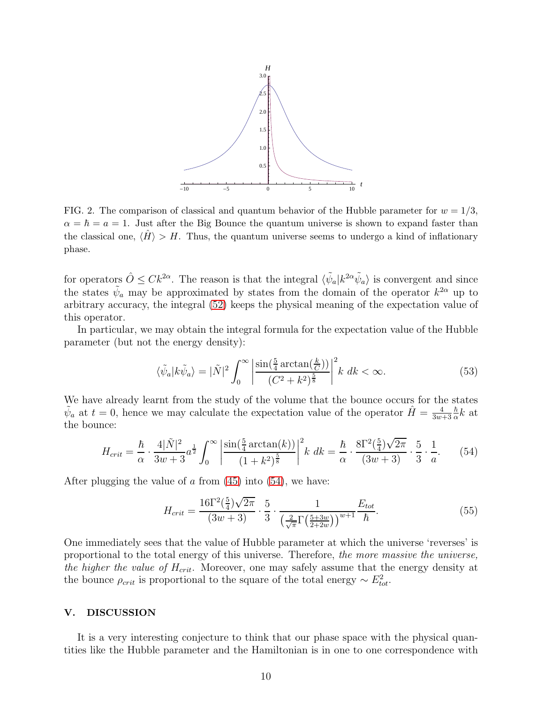

FIG. 2. The comparison of classical and quantum behavior of the Hubble parameter for  $w = 1/3$ ,  $\alpha = \hbar = a = 1$ . Just after the Big Bounce the quantum universe is shown to expand faster than the classical one,  $\langle \hat{H} \rangle > H$ . Thus, the quantum universe seems to undergo a kind of inflationary phase.

for operators  $\hat{O} \leq C k^{2\alpha}$ . The reason is that the integral  $\langle \tilde{\psi}_a | k^{2\alpha} \tilde{\psi}_a \rangle$  is convergent and since the states  $\tilde{\psi}_a$  may be approximated by states from the domain of the operator  $k^{2\alpha}$  up to arbitrary accuracy, the integral [\(52\)](#page-8-1) keeps the physical meaning of the expectation value of this operator.

In particular, we may obtain the integral formula for the expectation value of the Hubble parameter (but not the energy density):

$$
\langle \tilde{\psi}_a | k \tilde{\psi}_a \rangle = |\tilde{N}|^2 \int_0^\infty \left| \frac{\sin(\frac{5}{4}\arctan(\frac{k}{C}))}{(C^2 + k^2)^{\frac{5}{8}}} \right|^2 k \, dk < \infty. \tag{53}
$$

We have already learnt from the study of the volume that the bounce occurs for the states  $\tilde{\psi}_a$  at  $t=0$ , hence we may calculate the expectation value of the operator  $\hat{H}=\frac{4}{3w}$  $3w+3$  $\hbar$  $\frac{\hbar}{\alpha}k$  at the bounce:

<span id="page-9-1"></span>
$$
H_{crit} = \frac{\hbar}{\alpha} \cdot \frac{4|\tilde{N}|^2}{3w+3} a^{\frac{1}{2}} \int_0^\infty \left| \frac{\sin(\frac{5}{4}\arctan(k))}{(1+k^2)^{\frac{5}{8}}} \right|^2 k \ dk = \frac{\hbar}{\alpha} \cdot \frac{8\Gamma^2(\frac{5}{4})\sqrt{2\pi}}{(3w+3)} \cdot \frac{5}{3} \cdot \frac{1}{a} . \tag{54}
$$

After plugging the value of  $\alpha$  from [\(45\)](#page-7-6) into [\(54\)](#page-9-1), we have:

$$
H_{crit} = \frac{16\Gamma^2(\frac{5}{4})\sqrt{2\pi}}{(3w+3)} \cdot \frac{5}{3} \cdot \frac{1}{\left(\frac{2}{\sqrt{\pi}}\Gamma\left(\frac{5+3w}{2+2w}\right)\right)^{w+1}} \frac{E_{tot}}{\hbar}.
$$
 (55)

One immediately sees that the value of Hubble parameter at which the universe 'reverses' is proportional to the total energy of this universe. Therefore, the more massive the universe, the higher the value of  $H_{crit}$ . Moreover, one may safely assume that the energy density at the bounce  $\rho_{crit}$  is proportional to the square of the total energy  $\sim E_{tot}^2$ .

## <span id="page-9-0"></span>V. DISCUSSION

It is a very interesting conjecture to think that our phase space with the physical quantities like the Hubble parameter and the Hamiltonian is in one to one correspondence with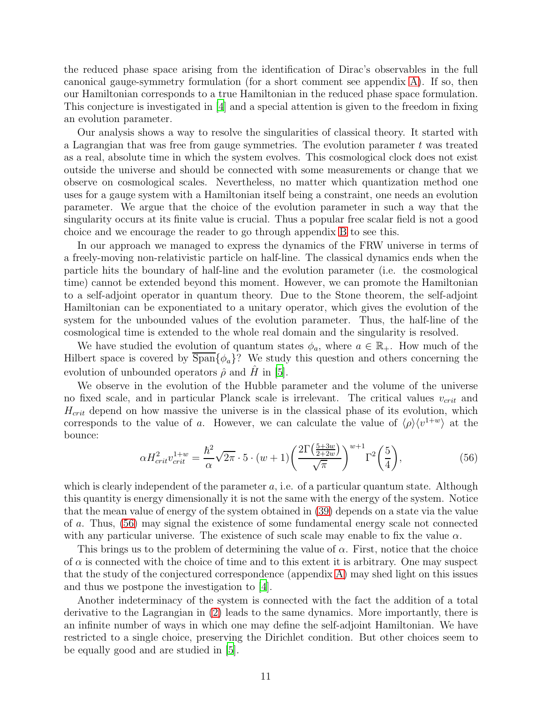the reduced phase space arising from the identification of Dirac's observables in the full canonical gauge-symmetry formulation (for a short comment see appendix [A\)](#page-11-0). If so, then our Hamiltonian corresponds to a true Hamiltonian in the reduced phase space formulation. This conjecture is investigated in [\[4\]](#page-14-3) and a special attention is given to the freedom in fixing an evolution parameter.

Our analysis shows a way to resolve the singularities of classical theory. It started with a Lagrangian that was free from gauge symmetries. The evolution parameter  $t$  was treated as a real, absolute time in which the system evolves. This cosmological clock does not exist outside the universe and should be connected with some measurements or change that we observe on cosmological scales. Nevertheless, no matter which quantization method one uses for a gauge system with a Hamiltonian itself being a constraint, one needs an evolution parameter. We argue that the choice of the evolution parameter in such a way that the singularity occurs at its finite value is crucial. Thus a popular free scalar field is not a good choice and we encourage the reader to go through appendix [B](#page-11-1) to see this.

In our approach we managed to express the dynamics of the FRW universe in terms of a freely-moving non-relativistic particle on half-line. The classical dynamics ends when the particle hits the boundary of half-line and the evolution parameter (i.e. the cosmological time) cannot be extended beyond this moment. However, we can promote the Hamiltonian to a self-adjoint operator in quantum theory. Due to the Stone theorem, the self-adjoint Hamiltonian can be exponentiated to a unitary operator, which gives the evolution of the system for the unbounded values of the evolution parameter. Thus, the half-line of the cosmological time is extended to the whole real domain and the singularity is resolved.

We have studied the evolution of quantum states  $\phi_a$ , where  $a \in \mathbb{R}_+$ . How much of the Hilbert space is covered by  $\text{Span}\{\phi_a\}$ ? We study this question and others concerning the evolution of unbounded operators  $\hat{\rho}$  and  $\hat{H}$  in [\[5](#page-14-4)].

We observe in the evolution of the Hubble parameter and the volume of the universe no fixed scale, and in particular Planck scale is irrelevant. The critical values  $v_{crit}$  and  $H_{crit}$  depend on how massive the universe is in the classical phase of its evolution, which corresponds to the value of a. However, we can calculate the value of  $\langle \rho \rangle \langle v^{1+w} \rangle$  at the bounce:

<span id="page-10-0"></span>
$$
\alpha H_{crit}^2 v_{crit}^{1+w} = \frac{\hbar^2}{\alpha} \sqrt{2\pi} \cdot 5 \cdot (w+1) \left(\frac{2\Gamma\left(\frac{5+3w}{2+2w}\right)}{\sqrt{\pi}}\right)^{w+1} \Gamma^2\left(\frac{5}{4}\right),\tag{56}
$$

which is clearly independent of the parameter  $a$ , i.e. of a particular quantum state. Although this quantity is energy dimensionally it is not the same with the energy of the system. Notice that the mean value of energy of the system obtained in [\(39\)](#page-6-1) depends on a state via the value of a. Thus, [\(56\)](#page-10-0) may signal the existence of some fundamental energy scale not connected with any particular universe. The existence of such scale may enable to fix the value  $\alpha$ .

This brings us to the problem of determining the value of  $\alpha$ . First, notice that the choice of  $\alpha$  is connected with the choice of time and to this extent it is arbitrary. One may suspect that the study of the conjectured correspondence (appendix [A\)](#page-11-0) may shed light on this issues and thus we postpone the investigation to [\[4](#page-14-3)].

Another indeterminacy of the system is connected with the fact the addition of a total derivative to the Lagrangian in [\(2\)](#page-1-1) leads to the same dynamics. More importantly, there is an infinite number of ways in which one may define the self-adjoint Hamiltonian. We have restricted to a single choice, preserving the Dirichlet condition. But other choices seem to be equally good and are studied in [\[5\]](#page-14-4).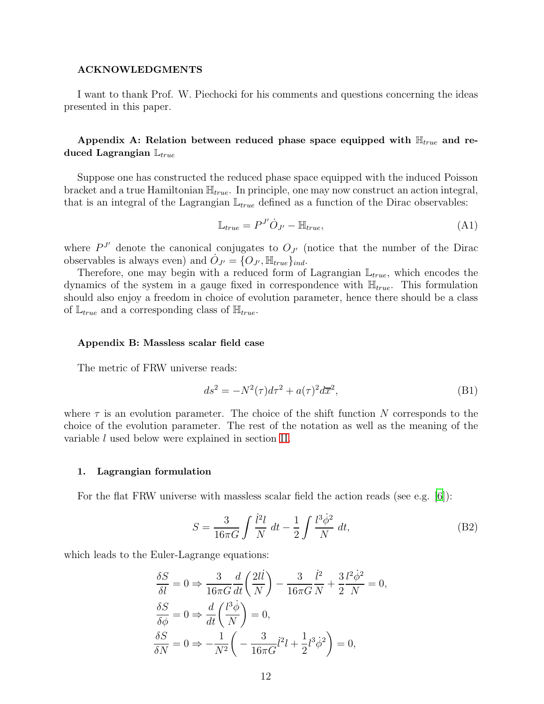## ACKNOWLEDGMENTS

I want to thank Prof. W. Piechocki for his comments and questions concerning the ideas presented in this paper.

## <span id="page-11-0"></span>Appendix A: Relation between reduced phase space equipped with  $\mathbb{H}_{true}$  and reduced Lagrangian  $\mathbb{L}_{true}$

Suppose one has constructed the reduced phase space equipped with the induced Poisson bracket and a true Hamiltonian  $\mathbb{H}_{true}$ . In principle, one may now construct an action integral, that is an integral of the Lagrangian  $\mathbb{L}_{true}$  defined as a function of the Dirac observables:

$$
\mathbb{L}_{true} = P^{J'} \dot{O}_{J'} - \mathbb{H}_{true},\tag{A1}
$$

where  $P^{J'}$  denote the canonical conjugates to  $O_{J'}$  (notice that the number of the Dirac observables is always even) and  $\dot{O}_{J'} = \{O_{J'}, \mathbb{H}_{true}\}_{ind}$ .

Therefore, one may begin with a reduced form of Lagrangian  $\mathbb{L}_{true}$ , which encodes the dynamics of the system in a gauge fixed in correspondence with  $\mathbb{H}_{true}$ . This formulation should also enjoy a freedom in choice of evolution parameter, hence there should be a class of  $\mathbb{L}_{true}$  and a corresponding class of  $\mathbb{H}_{true}$ .

#### <span id="page-11-1"></span>Appendix B: Massless scalar field case

The metric of FRW universe reads:

$$
ds^2 = -N^2(\tau)d\tau^2 + a(\tau)^2d\overline{x}^2,\tag{B1}
$$

where  $\tau$  is an evolution parameter. The choice of the shift function N corresponds to the choice of the evolution parameter. The rest of the notation as well as the meaning of the variable l used below were explained in section [II.](#page-1-0)

#### 1. Lagrangian formulation

For the flat FRW universe with massless scalar field the action reads (see e.g. [\[6](#page-14-5)]):

$$
S = \frac{3}{16\pi G} \int \frac{\dot{l}^2 l}{N} \, dt - \frac{1}{2} \int \frac{l^3 \dot{\phi}^2}{N} \, dt,\tag{B2}
$$

which leads to the Euler-Lagrange equations:

$$
\frac{\delta S}{\delta l} = 0 \Rightarrow \frac{3}{16\pi G} \frac{d}{dt} \left(\frac{2l\dot{l}}{N}\right) - \frac{3}{16\pi G} \frac{\dot{l}^2}{N} + \frac{3}{2} \frac{l^2 \dot{\phi}^2}{N} = 0,
$$
  

$$
\frac{\delta S}{\delta \phi} = 0 \Rightarrow \frac{d}{dt} \left(\frac{l^3 \dot{\phi}}{N}\right) = 0,
$$
  

$$
\frac{\delta S}{\delta N} = 0 \Rightarrow -\frac{1}{N^2} \left(-\frac{3}{16\pi G}l^2l + \frac{1}{2}l^3 \dot{\phi}^2\right) = 0,
$$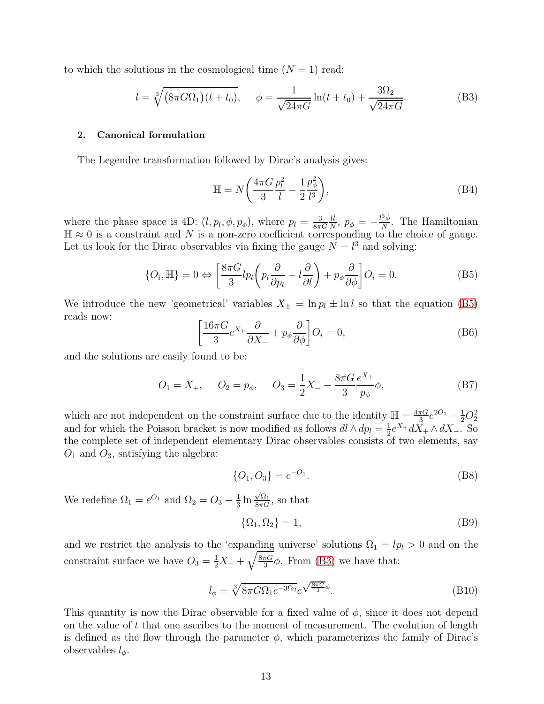to which the solutions in the cosmological time  $(N = 1)$  read:

<span id="page-12-1"></span>
$$
l = \sqrt[3]{\left(8\pi G \Omega_1\right)(t+t_0)}, \quad \phi = \frac{1}{\sqrt{24\pi G}} \ln(t+t_0) + \frac{3\Omega_2}{\sqrt{24\pi G}}.\tag{B3}
$$

### 2. Canonical formulation

The Legendre transformation followed by Dirac's analysis gives:

$$
\mathbb{H} = N\left(\frac{4\pi G}{3}\frac{p_l^2}{l} - \frac{1}{2}\frac{p_\phi^2}{l^3}\right),\tag{B4}
$$

where the phase space is 4D:  $(l, p_l, \phi, p_\phi)$ , where  $p_l = \frac{3}{8\pi\epsilon}$  $8\pi G$  $li$  $\frac{li}{N}, p_{\phi} = -\frac{l^3 \dot{\phi}}{N}$  $\frac{\partial \phi}{\partial N}$ . The Hamiltonian  $\mathbb{H} \approx 0$  is a constraint and N is a non-zero coefficient corresponding to the choice of gauge. Let us look for the Dirac observables via fixing the gauge  $N = l<sup>3</sup>$  and solving:

<span id="page-12-0"></span>
$$
\{O_i, \mathbb{H}\} = 0 \Leftrightarrow \left[\frac{8\pi G}{3}lp_l\left(p_l\frac{\partial}{\partial p_l} - l\frac{\partial}{\partial l}\right) + p_\phi \frac{\partial}{\partial \phi}\right] O_i = 0.
$$
 (B5)

We introduce the new 'geometrical' variables  $X_{\pm} = \ln p_l \pm \ln l$  so that the equation [\(B5\)](#page-12-0) reads now:

$$
\left[\frac{16\pi G}{3}e^{X_{+}}\frac{\partial}{\partial X_{-}} + p_{\phi}\frac{\partial}{\partial \phi}\right]O_{i} = 0, \tag{B6}
$$

and the solutions are easily found to be:

$$
O_1 = X_+, \quad O_2 = p_\phi, \quad O_3 = \frac{1}{2}X_- - \frac{8\pi G}{3} \frac{e^{X_+}}{p_\phi} \phi,
$$
 (B7)

which are not independent on the constraint surface due to the identity  $\mathbb{H} = \frac{4\pi G}{3}$  $rac{\pi G}{3}e^{2O_1}-\frac{1}{2}O_2^2$ and for which the Poisson bracket is now modified as follows  $dl \wedge dp_l = \frac{1}{2}$  $\frac{1}{2}e^{X_+}dX_+\wedge dX_-.$  So the complete set of independent elementary Dirac observables consists of two elements, say  $O_1$  and  $O_3$ , satisfying the algebra:

$$
\{O_1, O_3\} = e^{-O_1}.
$$
 (B8)

We redefine  $\Omega_1 = e^{O_1}$  and  $\Omega_2 = O_3 - \frac{1}{3}$  $\frac{1}{3} \ln \frac{\sqrt{\Omega_1}}{8\pi G}$ , so that

$$
\{\Omega_1, \Omega_2\} = 1,\tag{B9}
$$

and we restrict the analysis to the 'expanding universe' solutions  $\Omega_1 = lp_l > 0$  and on the constraint surface we have  $O_3 = \frac{1}{2}X_- + \sqrt{\frac{8\pi G}{3}}$  $\frac{\pi G}{3}$  $\phi$ . From [\(B3\)](#page-12-1) we have that:

$$
l_{\phi} = \sqrt[3]{8\pi G \Omega_1 e^{-3\Omega_2}} e^{\sqrt{\frac{8\pi G}{3}}\phi}.
$$
 (B10)

This quantity is now the Dirac observable for a fixed value of  $\phi$ , since it does not depend on the value of  $t$  that one ascribes to the moment of measurement. The evolution of length is defined as the flow through the parameter  $\phi$ , which parameterizes the family of Dirac's observables  $l_{\phi}$ .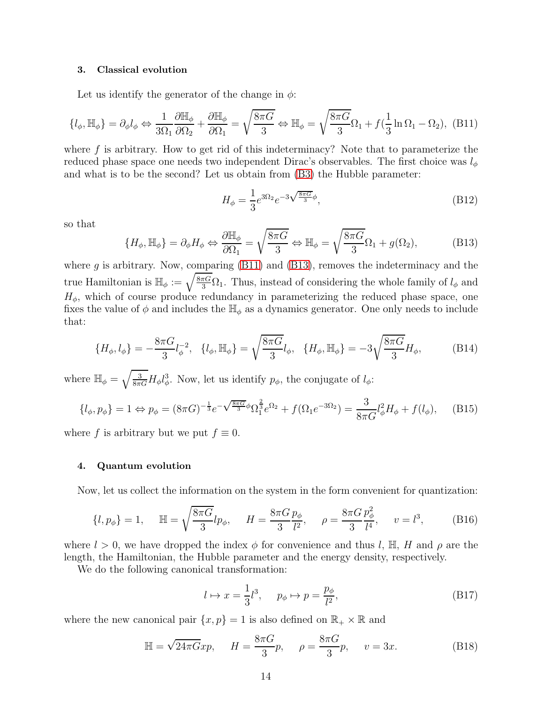#### 3. Classical evolution

Let us identify the generator of the change in  $\phi$ :

<span id="page-13-0"></span>
$$
\{l_{\phi}, \mathbb{H}_{\phi}\} = \partial_{\phi} l_{\phi} \Leftrightarrow \frac{1}{3\Omega_1} \frac{\partial \mathbb{H}_{\phi}}{\partial \Omega_2} + \frac{\partial \mathbb{H}_{\phi}}{\partial \Omega_1} = \sqrt{\frac{8\pi G}{3}} \Leftrightarrow \mathbb{H}_{\phi} = \sqrt{\frac{8\pi G}{3}} \Omega_1 + f\left(\frac{1}{3}\ln \Omega_1 - \Omega_2\right), \quad (B11)
$$

where  $f$  is arbitrary. How to get rid of this indeterminacy? Note that to parameterize the reduced phase space one needs two independent Dirac's observables. The first choice was  $l_{\phi}$ and what is to be the second? Let us obtain from [\(B3\)](#page-12-1) the Hubble parameter:

$$
H_{\phi} = \frac{1}{3} e^{3\Omega_2} e^{-3\sqrt{\frac{8\pi G}{3}}\phi}, \tag{B12}
$$

so that

<span id="page-13-1"></span>
$$
\{H_{\phi}, \mathbb{H}_{\phi}\} = \partial_{\phi} H_{\phi} \Leftrightarrow \frac{\partial \mathbb{H}_{\phi}}{\partial \Omega_1} = \sqrt{\frac{8\pi G}{3}} \Leftrightarrow \mathbb{H}_{\phi} = \sqrt{\frac{8\pi G}{3}} \Omega_1 + g(\Omega_2),\tag{B13}
$$

where g is arbitrary. Now, comparing  $(B11)$  and  $(B13)$ , removes the indeterminacy and the true Hamiltonian is  $\mathbb{H}_{\phi} := \sqrt{\frac{8\pi G}{3}} \Omega_1$ . Thus, instead of considering the whole family of  $l_{\phi}$  and  $H_{\phi}$ , which of course produce redundancy in parameterizing the reduced phase space, one fixes the value of  $\phi$  and includes the  $\mathbb{H}_{\phi}$  as a dynamics generator. One only needs to include that:

$$
\{H_{\phi}, l_{\phi}\} = -\frac{8\pi G}{3}l_{\phi}^{-2}, \quad \{l_{\phi}, \mathbb{H}_{\phi}\} = \sqrt{\frac{8\pi G}{3}}l_{\phi}, \quad \{H_{\phi}, \mathbb{H}_{\phi}\} = -3\sqrt{\frac{8\pi G}{3}}H_{\phi}, \tag{B14}
$$

where  $\mathbb{H}_{\phi} = \sqrt{\frac{3}{8\pi G}} H_{\phi} l_{\phi}^{3}$ . Now, let us identify  $p_{\phi}$ , the conjugate of  $l_{\phi}$ :

$$
\{l_{\phi}, p_{\phi}\} = 1 \Leftrightarrow p_{\phi} = (8\pi G)^{-\frac{1}{3}} e^{-\sqrt{\frac{8\pi G}{3}} \phi} \Omega_1^{\frac{2}{3}} e^{\Omega_2} + f(\Omega_1 e^{-3\Omega_2}) = \frac{3}{8\pi G} l_{\phi}^2 H_{\phi} + f(l_{\phi}), \quad (B15)
$$

where f is arbitrary but we put  $f \equiv 0$ .

### 4. Quantum evolution

Now, let us collect the information on the system in the form convenient for quantization:

$$
\{l, p_{\phi}\} = 1, \quad \mathbb{H} = \sqrt{\frac{8\pi G}{3}}l p_{\phi}, \quad H = \frac{8\pi G}{3} \frac{p_{\phi}}{l^2}, \quad \rho = \frac{8\pi G}{3} \frac{p_{\phi}^2}{l^4}, \quad v = l^3,
$$
 (B16)

where  $l > 0$ , we have dropped the index  $\phi$  for convenience and thus l, H, H and  $\rho$  are the length, the Hamiltonian, the Hubble parameter and the energy density, respectively.

We do the following canonical transformation:

$$
l \mapsto x = \frac{1}{3}l^3, \quad p_{\phi} \mapsto p = \frac{p_{\phi}}{l^2},\tag{B17}
$$

where the new canonical pair  $\{x, p\} = 1$  is also defined on  $\mathbb{R}_+ \times \mathbb{R}$  and

$$
\mathbb{H} = \sqrt{24\pi G} x p, \quad H = \frac{8\pi G}{3} p, \quad \rho = \frac{8\pi G}{3} p, \quad v = 3x.
$$
 (B18)